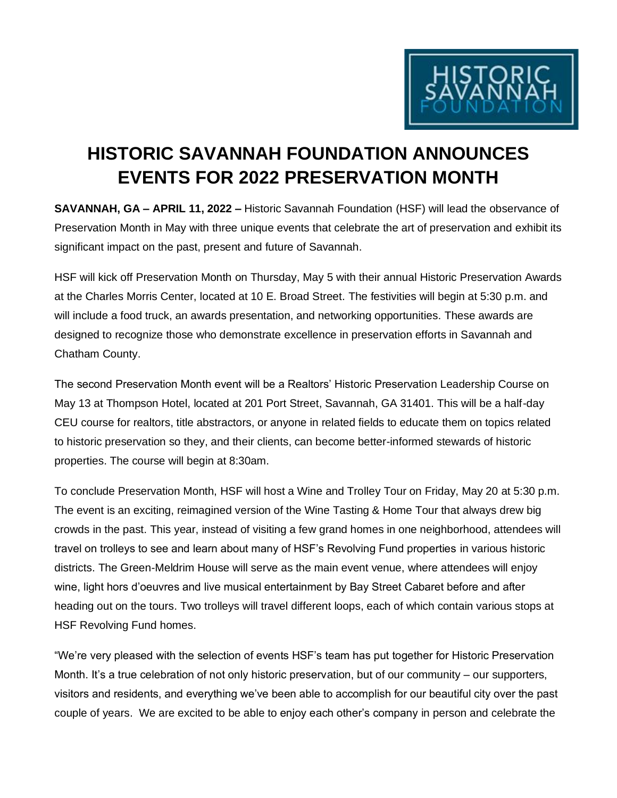

## **HISTORIC SAVANNAH FOUNDATION ANNOUNCES EVENTS FOR 2022 PRESERVATION MONTH**

**SAVANNAH, GA – APRIL 11, 2022 –** Historic Savannah Foundation (HSF) will lead the observance of Preservation Month in May with three unique events that celebrate the art of preservation and exhibit its significant impact on the past, present and future of Savannah.

HSF will kick off Preservation Month on Thursday, May 5 with their annual Historic Preservation Awards at the Charles Morris Center, located at 10 E. Broad Street. The festivities will begin at 5:30 p.m. and will include a food truck, an awards presentation, and networking opportunities. These awards are designed to recognize those who demonstrate excellence in preservation efforts in Savannah and Chatham County.

The second Preservation Month event will be a Realtors' Historic Preservation Leadership Course on May 13 at Thompson Hotel, located at 201 Port Street, Savannah, GA 31401. This will be a half-day CEU course for realtors, title abstractors, or anyone in related fields to educate them on topics related to historic preservation so they, and their clients, can become better-informed stewards of historic properties. The course will begin at 8:30am.

To conclude Preservation Month, HSF will host a Wine and Trolley Tour on Friday, May 20 at 5:30 p.m. The event is an exciting, reimagined version of the Wine Tasting & Home Tour that always drew big crowds in the past. This year, instead of visiting a few grand homes in one neighborhood, attendees will travel on trolleys to see and learn about many of HSF's Revolving Fund properties in various historic districts. The Green-Meldrim House will serve as the main event venue, where attendees will enjoy wine, light hors d'oeuvres and live musical entertainment by Bay Street Cabaret before and after heading out on the tours. Two trolleys will travel different loops, each of which contain various stops at HSF Revolving Fund homes.

"We're very pleased with the selection of events HSF's team has put together for Historic Preservation Month. It's a true celebration of not only historic preservation, but of our community – our supporters, visitors and residents, and everything we've been able to accomplish for our beautiful city over the past couple of years. We are excited to be able to enjoy each other's company in person and celebrate the